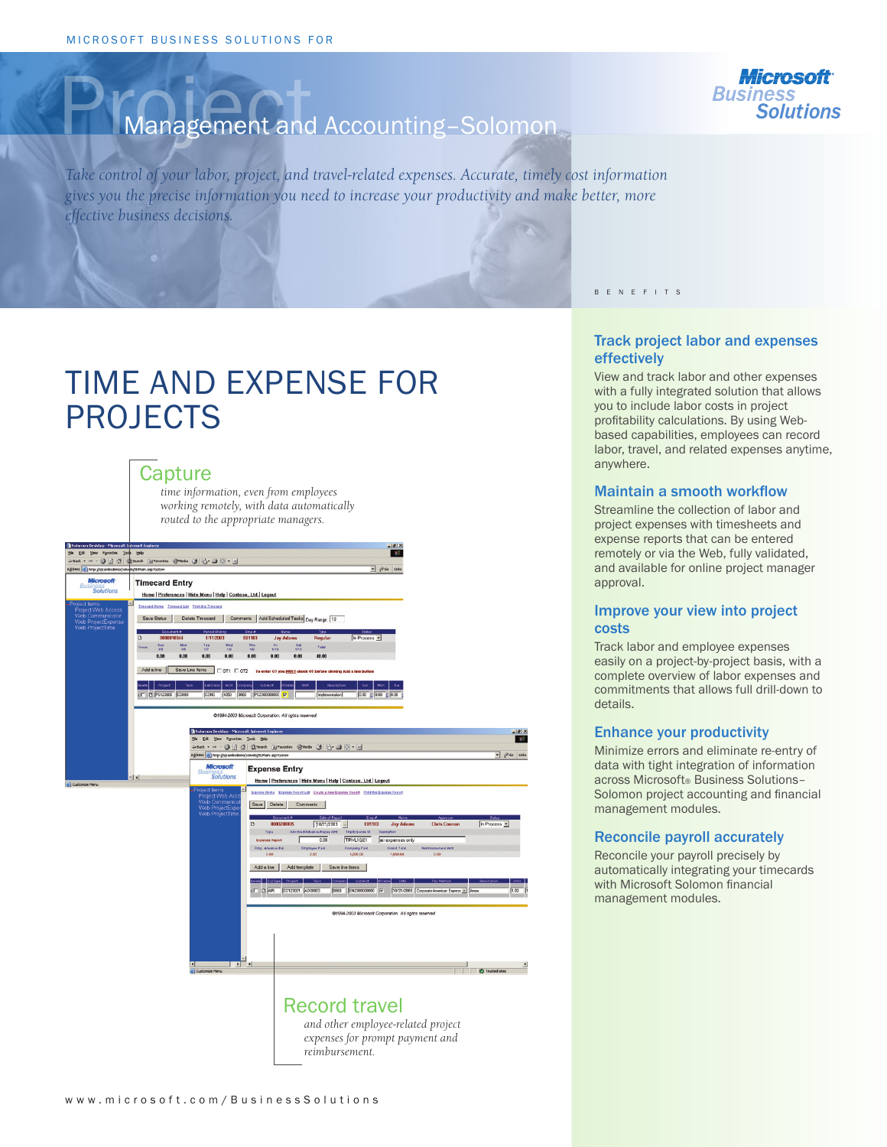

# Management and Accounting-Solomon

*Take control of your labor, project, and travel-related expenses. Accurate, timely cost information gives you the precise information you need to increase your productivity and make better, more effective business decisions.*

# TIME AND EXPENSE FOR PROJECTS

## **Capture**

*time information, even from employees working remotely, with data automatically routed to the appropriate managers.*

| n Desktop - Microsoft Internet Explorer<br>Yew Favorites Tools Help        |                                                                                                                                 |                                                                                                                    |                                                                 |                                                        |                                                                                                                                                                                     |                                                               | $-10x$<br>T B                                                       |                                                                       |                        |                |  |
|----------------------------------------------------------------------------|---------------------------------------------------------------------------------------------------------------------------------|--------------------------------------------------------------------------------------------------------------------|-----------------------------------------------------------------|--------------------------------------------------------|-------------------------------------------------------------------------------------------------------------------------------------------------------------------------------------|---------------------------------------------------------------|---------------------------------------------------------------------|-----------------------------------------------------------------------|------------------------|----------------|--|
|                                                                            | → · ◎ 日 ③ ③Search 国Favorites 田media ③ 凸 · ③ 図 · 国                                                                               |                                                                                                                    |                                                                 |                                                        |                                                                                                                                                                                     |                                                               |                                                                     |                                                                       |                        |                |  |
| http://sjcambsdemo/solweb/SDMain.asp?Goto=                                 |                                                                                                                                 |                                                                                                                    |                                                                 |                                                        |                                                                                                                                                                                     |                                                               | $ \rho$ so Links                                                    |                                                                       |                        |                |  |
| <b>Microsoft</b>                                                           | <b>Timecard Entry</b>                                                                                                           |                                                                                                                    |                                                                 |                                                        |                                                                                                                                                                                     |                                                               |                                                                     |                                                                       |                        |                |  |
| <b>Solutions</b>                                                           | Home Preferences   Hide Menu   Help   Contoso, Ltd   Logout                                                                     |                                                                                                                    |                                                                 |                                                        |                                                                                                                                                                                     |                                                               |                                                                     |                                                                       |                        |                |  |
| t items<br>ect Web Access<br>Communicator<br>ProjectExpense<br>ProjectTime | Timecard Home Timecard List Print this Timecard<br>Comments Add Scheduled Tasks Day Range: 10<br>Save Status<br>Delete Timecard |                                                                                                                    |                                                                 |                                                        |                                                                                                                                                                                     |                                                               |                                                                     |                                                                       |                        |                |  |
|                                                                            | 0000010344<br>D                                                                                                                 | <b>Parind Frydin</b><br>1/11/2003                                                                                  | Fmn #<br>E01183                                                 | <b>Jay Adams</b>                                       | <b>Regular</b>                                                                                                                                                                      | In Process                                                    |                                                                     |                                                                       |                        |                |  |
|                                                                            | Mon $1/6$<br>$\frac{5m}{15}$<br><b>Hours</b>                                                                                    | $\frac{1}{10}$<br>Wed<br>1/0                                                                                       | $\frac{7 \text{ hq}}{10}$                                       | $\frac{Fn}{1/10}$<br>Sat<br>1/11                       | Tetal                                                                                                                                                                               |                                                               |                                                                     |                                                                       |                        |                |  |
|                                                                            | 0.00<br>8.00                                                                                                                    | 8.00<br>8.00                                                                                                       | 8.00                                                            | 0.00<br>8.00                                           | 48.00                                                                                                                                                                               |                                                               |                                                                     |                                                                       |                        |                |  |
|                                                                            | Add a line                                                                                                                      | Save Line Items<br>$\Box$ OT1 $\Box$ OT2                                                                           |                                                                 |                                                        | To enter OT you MUST check OT before clicking Add a line button                                                                                                                     |                                                               |                                                                     |                                                                       |                        |                |  |
|                                                                            |                                                                                                                                 |                                                                                                                    |                                                                 |                                                        |                                                                                                                                                                                     |                                                               |                                                                     |                                                                       |                        |                |  |
|                                                                            | neenl<br>Project<br>Task                                                                                                        | LabClass<br>Acct                                                                                                   | SubAcct<br>bmoany                                               | se<br>imasiel                                          | Description                                                                                                                                                                         | Sun.                                                          | Mon.<br>Top.                                                        |                                                                       |                        |                |  |
|                                                                            | D PS123000 C0093                                                                                                                | <b>CONS</b><br>4050                                                                                                | 0060<br>PS2300000000 P                                          |                                                        | Implementation                                                                                                                                                                      | 0.00 0 0.00 0 0.00                                            |                                                                     |                                                                       |                        |                |  |
|                                                                            |                                                                                                                                 |                                                                                                                    |                                                                 |                                                        |                                                                                                                                                                                     |                                                               |                                                                     |                                                                       |                        |                |  |
|                                                                            |                                                                                                                                 |                                                                                                                    |                                                                 | @1994-2003 Microsoft Corporation. All rights reserved. |                                                                                                                                                                                     |                                                               |                                                                     |                                                                       |                        |                |  |
|                                                                            |                                                                                                                                 | Solomon Desktop - Microsoft Internet Explor                                                                        |                                                                 |                                                        |                                                                                                                                                                                     |                                                               |                                                                     |                                                                       |                        | $-16 \times$   |  |
|                                                                            |                                                                                                                                 | Elle Edit View Favorites Tools Help                                                                                |                                                                 |                                                        |                                                                                                                                                                                     |                                                               |                                                                     |                                                                       |                        | P.             |  |
|                                                                            |                                                                                                                                 | 4-Back - → - ② 日 △ ②Search 国Favorites @Media ③ 凸- ③ 図 - 回<br>Agdress a) http://sjcambsdemo/solweb/SDMain.asp?Goto= |                                                                 |                                                        |                                                                                                                                                                                     |                                                               |                                                                     |                                                                       | $ \approx$ 60 Links    |                |  |
|                                                                            |                                                                                                                                 |                                                                                                                    |                                                                 |                                                        |                                                                                                                                                                                     |                                                               |                                                                     |                                                                       |                        |                |  |
|                                                                            | $-1$                                                                                                                            | <b>Microsoft</b><br><b>Bus</b><br><b>Solutions</b>                                                                 |                                                                 | <b>Expense Entry</b>                                   |                                                                                                                                                                                     |                                                               |                                                                     |                                                                       |                        |                |  |
| be Menu                                                                    |                                                                                                                                 |                                                                                                                    |                                                                 |                                                        | Home   Preferences   Hide Menu   Help   Contoso, Ltd   Logout                                                                                                                       |                                                               |                                                                     |                                                                       |                        |                |  |
|                                                                            |                                                                                                                                 | oject Items<br>Project Web Acc<br>Web Communica<br>Web ProjectExpe<br>Web ProjectTime                              | Save Delete<br>n<br>Type<br>Expense Report<br>Emp. Advance Bat. | Comments<br>0000200035                                 | Expense Home Expense Report List Create a new Expense Report Print this Expense Report<br>Date of R<br>$10/21/2003$ -<br>Adv.Used/Advance/Repay Amt<br>0.00<br><b>Employee Paid</b> | E01183<br>Trip/Expense ID<br><b>TRVL10/21</b><br>Company Paid | <b>Jay Adams</b><br>Description<br>air expenses only<br>Grand Total | <b>Chris Cannon</b><br><b>Reinbursement Amt</b>                       | In Process -           |                |  |
|                                                                            |                                                                                                                                 |                                                                                                                    | 0.00                                                            |                                                        | 0.00                                                                                                                                                                                | 1,000.00                                                      | 1,000.00                                                            | 0.00                                                                  |                        |                |  |
|                                                                            |                                                                                                                                 |                                                                                                                    | Add a line                                                      | Add template                                           | Save line items                                                                                                                                                                     |                                                               |                                                                     |                                                                       |                        |                |  |
|                                                                            |                                                                                                                                 |                                                                                                                    |                                                                 |                                                        |                                                                                                                                                                                     |                                                               |                                                                     |                                                                       |                        |                |  |
|                                                                            |                                                                                                                                 |                                                                                                                    | $T$ $D$ $AR$                                                    | C0123001 AD00003                                       | 0060                                                                                                                                                                                | EN2300000000                                                  | ls                                                                  | 10/21/2003 Corporate American Express ~ Amex                          |                        | $1.00$ 1       |  |
|                                                                            |                                                                                                                                 |                                                                                                                    |                                                                 |                                                        |                                                                                                                                                                                     |                                                               |                                                                     |                                                                       |                        |                |  |
|                                                                            |                                                                                                                                 |                                                                                                                    |                                                                 |                                                        |                                                                                                                                                                                     |                                                               | @1994-2003 Microsoft Corporation. All rights reserved.              |                                                                       |                        |                |  |
|                                                                            |                                                                                                                                 |                                                                                                                    |                                                                 |                                                        |                                                                                                                                                                                     |                                                               |                                                                     |                                                                       |                        |                |  |
|                                                                            |                                                                                                                                 | $\overline{\mathbf{d}}$<br>$\frac{1}{2}$<br>Customize Menu                                                         |                                                                 |                                                        |                                                                                                                                                                                     |                                                               |                                                                     |                                                                       | <b>O</b> Trusted sites | $\overline{ }$ |  |
|                                                                            |                                                                                                                                 |                                                                                                                    |                                                                 |                                                        |                                                                                                                                                                                     |                                                               |                                                                     |                                                                       |                        |                |  |
|                                                                            |                                                                                                                                 |                                                                                                                    |                                                                 |                                                        | <b>Record travel</b><br>reimbursement.                                                                                                                                              |                                                               |                                                                     | and other employee-related project<br>expenses for prompt payment and |                        |                |  |

#### B E N E F I T S

### Track project labor and expenses effectively

View and track labor and other expenses with a fully integrated solution that allows you to include labor costs in project profitability calculations. By using Webbased capabilities, employees can record labor, travel, and related expenses anytime, anywhere.

#### Maintain a smooth workflow

Streamline the collection of labor and project expenses with timesheets and expense reports that can be entered remotely or via the Web, fully validated, and available for online project manager approval.

### Improve your view into project costs

Track labor and employee expenses easily on a project-by-project basis, with a complete overview of labor expenses and commitments that allows full drill-down to details.

#### Enhance your productivity

Minimize errors and eliminate re-entry of data with tight integration of information across Microsoft® Business Solutions-Solomon project accounting and financial management modules.

#### Reconcile payroll accurately

Reconcile your payroll precisely by automatically integrating your timecards with Microsoft Solomon financial management modules.